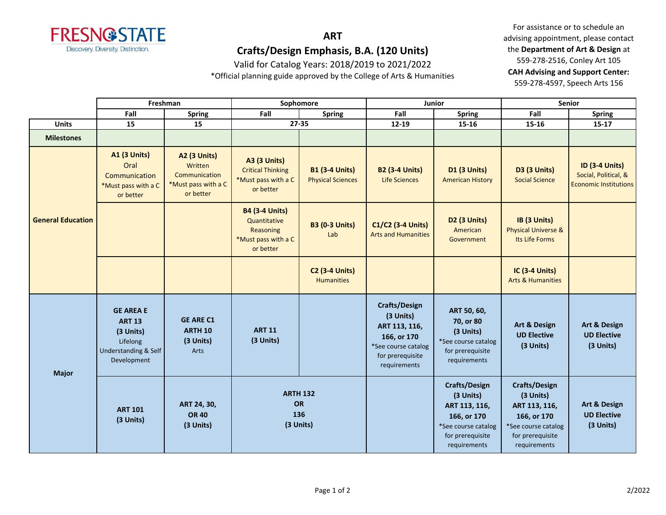

# **ART Crafts/Design Emphasis, B.A. (120 Units)**

Valid for Catalog Years: 2018/2019 to 2021/2022

\*Official planning guide approved by the College of Arts & Humanities

For assistance or to schedule an advising appointment, please contact the **Department of Art & Design** at 559-278-2516, Conley Art 105 **CAH Advising and Support Center:**  559-278-4597, Speech Arts 156

|                          |                                                                                                   | Freshman                                                                            | Sophomore                                                                              |                                                   | Junior                                                                                                                       |                                                                                                                       | <b>Senior</b>                                                                                                                |                                                                               |
|--------------------------|---------------------------------------------------------------------------------------------------|-------------------------------------------------------------------------------------|----------------------------------------------------------------------------------------|---------------------------------------------------|------------------------------------------------------------------------------------------------------------------------------|-----------------------------------------------------------------------------------------------------------------------|------------------------------------------------------------------------------------------------------------------------------|-------------------------------------------------------------------------------|
|                          | Fall                                                                                              | <b>Spring</b>                                                                       | Fall                                                                                   | <b>Spring</b>                                     | Fall                                                                                                                         | Fall<br><b>Spring</b>                                                                                                 |                                                                                                                              | <b>Spring</b>                                                                 |
| <b>Units</b>             | 15                                                                                                | 15                                                                                  |                                                                                        | 27-35                                             | 12-19                                                                                                                        | 15-16                                                                                                                 | 15-16                                                                                                                        | $15 - 17$                                                                     |
| <b>Milestones</b>        |                                                                                                   |                                                                                     |                                                                                        |                                                   |                                                                                                                              |                                                                                                                       |                                                                                                                              |                                                                               |
| <b>General Education</b> | <b>A1 (3 Units)</b><br>Oral<br>Communication<br>*Must pass with a C<br>or better                  | <b>A2 (3 Units)</b><br>Written<br>Communication<br>*Must pass with a C<br>or better | <b>A3 (3 Units)</b><br><b>Critical Thinking</b><br>*Must pass with a C<br>or better    | <b>B1 (3-4 Units)</b><br><b>Physical Sciences</b> | <b>B2 (3-4 Units)</b><br>Life Sciences                                                                                       | D1 (3 Units)<br><b>American History</b>                                                                               | D3 (3 Units)<br><b>Social Science</b>                                                                                        | <b>ID (3-4 Units)</b><br>Social, Political, &<br><b>Economic Institutions</b> |
|                          |                                                                                                   |                                                                                     | <b>B4 (3-4 Units)</b><br>Quantitative<br>Reasoning<br>*Must pass with a C<br>or better | <b>B3 (0-3 Units)</b><br>Lab                      | C1/C2 (3-4 Units)<br><b>Arts and Humanities</b>                                                                              | D2 (3 Units)<br>American<br>Government                                                                                | IB (3 Units)<br><b>Physical Universe &amp;</b><br>Its Life Forms                                                             |                                                                               |
|                          |                                                                                                   |                                                                                     |                                                                                        | <b>C2 (3-4 Units)</b><br><b>Humanities</b>        |                                                                                                                              |                                                                                                                       | IC (3-4 Units)<br><b>Arts &amp; Humanities</b>                                                                               |                                                                               |
| <b>Major</b>             | <b>GE AREA E</b><br><b>ART 13</b><br>(3 Units)<br>Lifelong<br>Understanding & Self<br>Development | <b>GE ARE C1</b><br><b>ARTH 10</b><br>(3 Units)<br>Arts                             | <b>ART 11</b><br>(3 Units)                                                             |                                                   | <b>Crafts/Design</b><br>(3 Units)<br>ART 113, 116,<br>166, or 170<br>*See course catalog<br>for prerequisite<br>requirements | ART 50, 60,<br>70, or 80<br>(3 Units)<br>*See course catalog<br>for prerequisite<br>requirements                      | Art & Design<br><b>UD Elective</b><br>(3 Units)                                                                              | Art & Design<br><b>UD Elective</b><br>(3 Units)                               |
|                          | <b>ART 101</b><br>(3 Units)                                                                       | ART 24, 30,<br><b>OR 40</b><br>(3 Units)                                            | <b>ARTH 132</b><br>OR<br>136<br>(3 Units)                                              |                                                   |                                                                                                                              | Crafts/Design<br>(3 Units)<br>ART 113, 116,<br>166, or 170<br>*See course catalog<br>for prerequisite<br>requirements | <b>Crafts/Design</b><br>(3 Units)<br>ART 113, 116,<br>166, or 170<br>*See course catalog<br>for prerequisite<br>requirements | <b>Art &amp; Design</b><br><b>UD Elective</b><br>(3 Units)                    |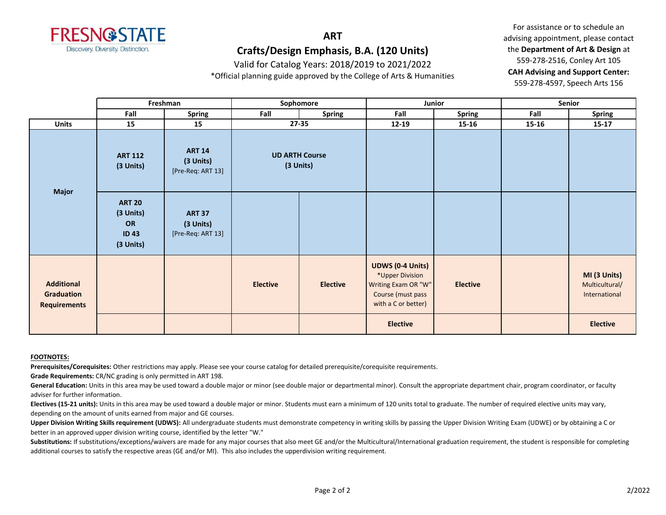

## **ART Crafts/Design Emphasis, B.A. (120 Units)**

Valid for Catalog Years: 2018/2019 to 2021/2022

\*Official planning guide approved by the College of Arts & Humanities

For assistance or to schedule an advising appointment, please contact the **Department of Art & Design** at 559-278-2516, Conley Art 105 **CAH Advising and Support Center:**  559-278-4597, Speech Arts 156

|                                                        |                                                                     | Freshman                                        | Sophomore                          |                 | Junior                                                                                                        |                 | Senior |                                                 |
|--------------------------------------------------------|---------------------------------------------------------------------|-------------------------------------------------|------------------------------------|-----------------|---------------------------------------------------------------------------------------------------------------|-----------------|--------|-------------------------------------------------|
|                                                        | Fall                                                                | <b>Spring</b>                                   | Fall                               | <b>Spring</b>   | Fall                                                                                                          | <b>Spring</b>   | Fall   | <b>Spring</b>                                   |
| <b>Units</b>                                           | 15                                                                  | 15                                              | $27 - 35$                          |                 | $12 - 19$                                                                                                     | 15-16           | 15-16  | $15 - 17$                                       |
| Major                                                  | <b>ART 112</b><br>(3 Units)                                         | <b>ART 14</b><br>(3 Units)<br>[Pre-Req: ART 13] | <b>UD ARTH Course</b><br>(3 Units) |                 |                                                                                                               |                 |        |                                                 |
|                                                        | <b>ART 20</b><br>(3 Units)<br><b>OR</b><br><b>ID43</b><br>(3 Units) | <b>ART 37</b><br>(3 Units)<br>[Pre-Req: ART 13] |                                    |                 |                                                                                                               |                 |        |                                                 |
| <b>Additional</b><br>Graduation<br><b>Requirements</b> |                                                                     |                                                 | <b>Elective</b>                    | <b>Elective</b> | <b>UDWS (0-4 Units)</b><br>*Upper Division<br>Writing Exam OR "W"<br>Course (must pass<br>with a C or better) | <b>Elective</b> |        | MI (3 Units)<br>Multicultural/<br>International |
|                                                        |                                                                     |                                                 |                                    |                 | <b>Elective</b>                                                                                               |                 |        | <b>Elective</b>                                 |

#### **FOOTNOTES:**

**Prerequisites/Corequisites:** Other restrictions may apply. Please see your course catalog for detailed prerequisite/corequisite requirements.

**Grade Requirements:** CR/NC grading is only permitted in ART 198.

General Education: Units in this area may be used toward a double major or minor (see double major or departmental minor). Consult the appropriate department chair, program coordinator, or faculty adviser for further information.

**Electives (15-21 units):** Units in this area may be used toward a double major or minor. Students must earn a minimum of 120 units total to graduate. The number of required elective units may vary, depending on the amount of units earned from major and GE courses.

Upper Division Writing Skills requirement (UDWS): All undergraduate students must demonstrate competency in writing skills by passing the Upper Division Writing Exam (UDWE) or by obtaining a C or better in an approved upper division writing course, identified by the letter "W."

Substitutions: If substitutions/exceptions/waivers are made for any major courses that also meet GE and/or the Multicultural/International graduation requirement, the student is responsible for completing additional courses to satisfy the respective areas (GE and/or MI). This also includes the upperdivision writing requirement.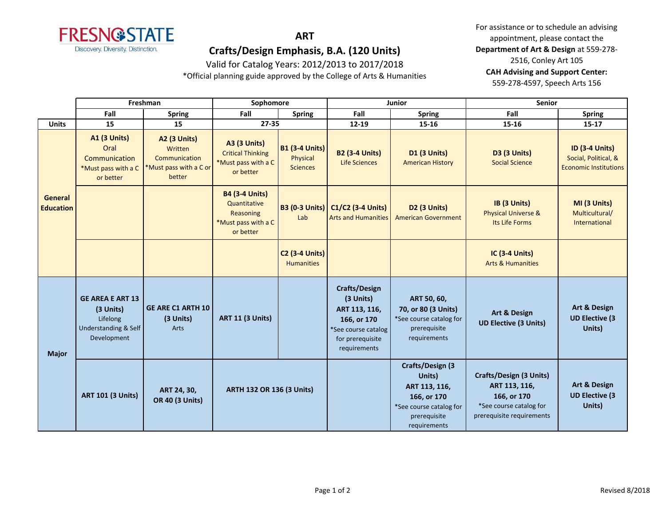

### **ART**

## **Crafts/Design Emphasis, B.A. (120 Units)**

Valid for Catalog Years: 2012/2013 to 2017/2018

\*Official planning guide approved by the College of Arts & Humanities

For assistance or to schedule an advising appointment, please contact the **Department of Art & Design** at 559-278- 2516, Conley Art 105 **CAH Advising and Support Center:**  559-278-4597, Speech Arts 156

|                             | Freshman                                                                                           |                                                                                     | Sophomore                                                                              |                                                      | Junior                                                                                                                |                                                                                                                       | <b>Senior</b>                                                                                                   |                                                                               |
|-----------------------------|----------------------------------------------------------------------------------------------------|-------------------------------------------------------------------------------------|----------------------------------------------------------------------------------------|------------------------------------------------------|-----------------------------------------------------------------------------------------------------------------------|-----------------------------------------------------------------------------------------------------------------------|-----------------------------------------------------------------------------------------------------------------|-------------------------------------------------------------------------------|
|                             | Fall                                                                                               | <b>Spring</b>                                                                       | Fall                                                                                   | <b>Spring</b>                                        | Fall                                                                                                                  | <b>Spring</b>                                                                                                         | Fall                                                                                                            | <b>Spring</b>                                                                 |
| <b>Units</b>                | 15                                                                                                 | 15                                                                                  | $27 - 35$                                                                              |                                                      | $12 - 19$                                                                                                             | $15 - 16$                                                                                                             | 15-16                                                                                                           | $15 - 17$                                                                     |
| General<br><b>Education</b> | <b>A1 (3 Units)</b><br>Oral<br>Communication<br>*Must pass with a C<br>or better                   | <b>A2 (3 Units)</b><br>Written<br>Communication<br>*Must pass with a C or<br>better | <b>A3 (3 Units)</b><br><b>Critical Thinking</b><br>*Must pass with a C<br>or better    | <b>B1 (3-4 Units)</b><br>Physical<br><b>Sciences</b> | <b>B2 (3-4 Units)</b><br><b>Life Sciences</b>                                                                         | <b>D1 (3 Units)</b><br><b>American History</b>                                                                        | <b>D3 (3 Units)</b><br><b>Social Science</b>                                                                    | <b>ID (3-4 Units)</b><br>Social, Political, &<br><b>Economic Institutions</b> |
|                             |                                                                                                    |                                                                                     | <b>B4 (3-4 Units)</b><br>Quantitative<br>Reasoning<br>*Must pass with a C<br>or better | <b>B3 (0-3 Units)</b><br>Lab                         | $C1/C2$ (3-4 Units)<br><b>Arts and Humanities</b>                                                                     | D <sub>2</sub> (3 Units)<br><b>American Government</b>                                                                | IB (3 Units)<br><b>Physical Universe &amp;</b><br>Its Life Forms                                                | MI (3 Units)<br>Multicultural/<br>International                               |
|                             |                                                                                                    |                                                                                     |                                                                                        | <b>C2 (3-4 Units)</b><br><b>Humanities</b>           |                                                                                                                       |                                                                                                                       | <b>IC (3-4 Units)</b><br><b>Arts &amp; Humanities</b>                                                           |                                                                               |
| <b>Major</b>                | <b>GE AREA E ART 13</b><br>(3 Units)<br>Lifelong<br><b>Understanding &amp; Self</b><br>Development | <b>GE ARE C1 ARTH 10</b><br>(3 Units)<br>Arts                                       | <b>ART 11 (3 Units)</b>                                                                |                                                      | Crafts/Design<br>(3 Units)<br>ART 113, 116,<br>166, or 170<br>*See course catalog<br>for prerequisite<br>requirements | ART 50, 60,<br>70, or 80 (3 Units)<br>*See course catalog for<br>prerequisite<br>requirements                         | <b>Art &amp; Design</b><br><b>UD Elective (3 Units)</b>                                                         | <b>Art &amp; Design</b><br><b>UD Elective (3</b><br>Units)                    |
|                             | <b>ART 101 (3 Units)</b>                                                                           | ART 24, 30,<br><b>OR 40 (3 Units)</b>                                               | ARTH 132 OR 136 (3 Units)                                                              |                                                      |                                                                                                                       | Crafts/Design (3<br>Units)<br>ART 113, 116,<br>166, or 170<br>*See course catalog for<br>prerequisite<br>requirements | Crafts/Design (3 Units)<br>ART 113, 116,<br>166, or 170<br>*See course catalog for<br>prerequisite requirements | Art & Design<br><b>UD Elective (3</b><br>Units)                               |